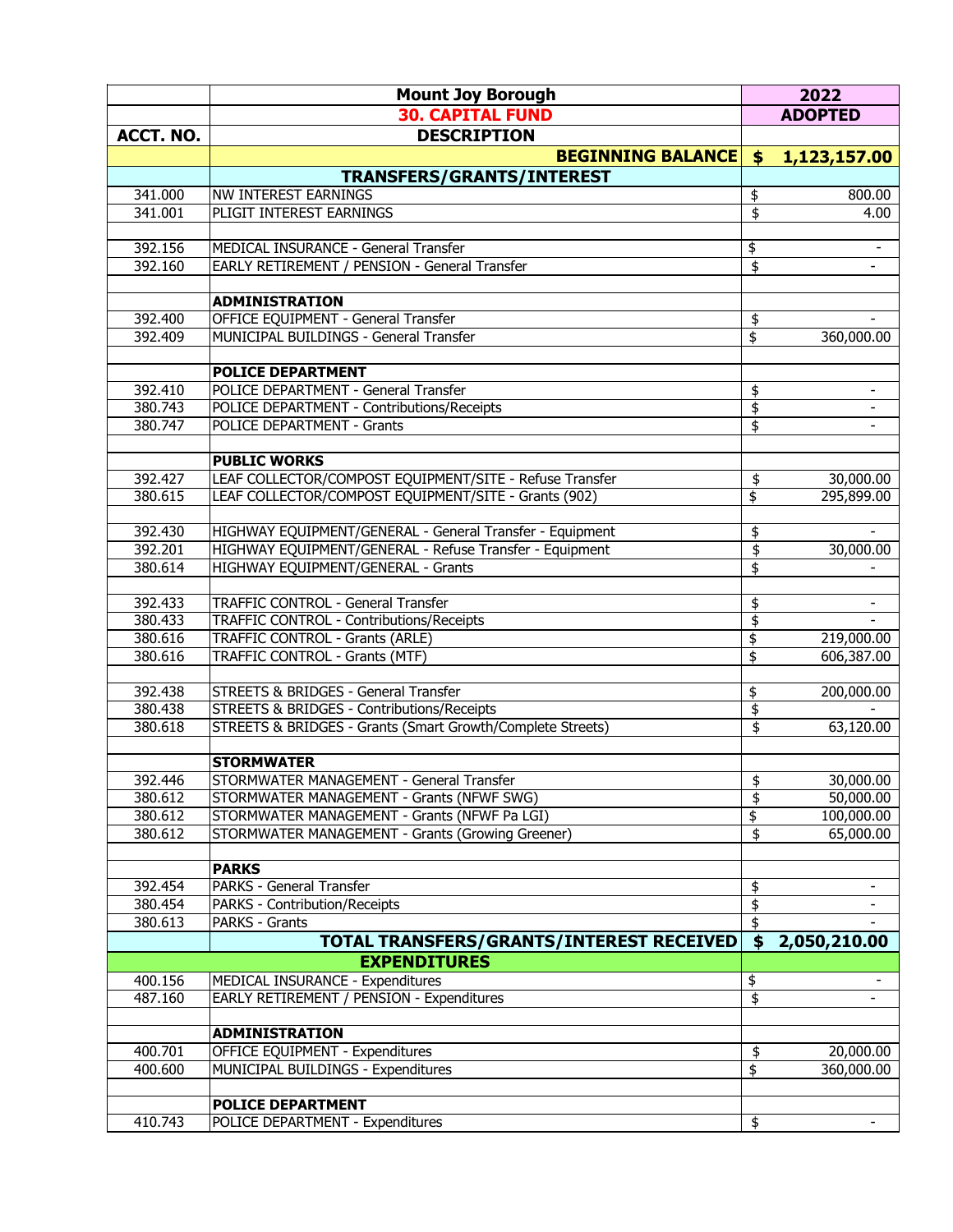|           | <b>Mount Joy Borough</b>                                   |                                    | 2022                     |
|-----------|------------------------------------------------------------|------------------------------------|--------------------------|
|           | <b>30. CAPITAL FUND</b>                                    |                                    | <b>ADOPTED</b>           |
| ACCT. NO. | <b>DESCRIPTION</b>                                         |                                    |                          |
|           | <b>BEGINNING BALANCE</b>                                   | \$                                 | 1,123,157.00             |
|           | <b>TRANSFERS/GRANTS/INTEREST</b>                           |                                    |                          |
| 341.000   | <b>NW INTEREST EARNINGS</b>                                | \$                                 | 800.00                   |
| 341.001   | PLIGIT INTEREST EARNINGS                                   | $\overline{\mathfrak{s}}$          | 4.00                     |
|           |                                                            |                                    |                          |
| 392.156   | MEDICAL INSURANCE - General Transfer                       | \$                                 | $\overline{\phantom{a}}$ |
| 392.160   | EARLY RETIREMENT / PENSION - General Transfer              | \$                                 | $\overline{\phantom{a}}$ |
|           |                                                            |                                    |                          |
|           | <b>ADMINISTRATION</b>                                      |                                    |                          |
| 392.400   | OFFICE EQUIPMENT - General Transfer                        | \$                                 |                          |
| 392.409   | MUNICIPAL BUILDINGS - General Transfer                     | $\overline{\mathfrak{s}}$          | 360,000.00               |
|           | <b>POLICE DEPARTMENT</b>                                   |                                    |                          |
| 392.410   | POLICE DEPARTMENT - General Transfer                       | \$                                 |                          |
| 380.743   | POLICE DEPARTMENT - Contributions/Receipts                 | \$                                 |                          |
| 380.747   | <b>POLICE DEPARTMENT - Grants</b>                          | $\overline{\mathfrak{s}}$          | $\blacksquare$           |
|           |                                                            |                                    |                          |
|           | <b>PUBLIC WORKS</b>                                        |                                    |                          |
| 392.427   | LEAF COLLECTOR/COMPOST EQUIPMENT/SITE - Refuse Transfer    | \$                                 | 30,000.00                |
| 380.615   | LEAF COLLECTOR/COMPOST EQUIPMENT/SITE - Grants (902)       | \$                                 | 295,899.00               |
|           |                                                            |                                    |                          |
| 392.430   | HIGHWAY EQUIPMENT/GENERAL - General Transfer - Equipment   | \$                                 |                          |
| 392.201   | HIGHWAY EQUIPMENT/GENERAL - Refuse Transfer - Equipment    | $\overline{\$}$                    | 30,000.00                |
| 380.614   | HIGHWAY EQUIPMENT/GENERAL - Grants                         | $\overline{\mathfrak{s}}$          |                          |
|           |                                                            |                                    |                          |
| 392.433   | <b>TRAFFIC CONTROL - General Transfer</b>                  | \$                                 | $\overline{\phantom{a}}$ |
| 380.433   | TRAFFIC CONTROL - Contributions/Receipts                   | \$                                 |                          |
| 380.616   | <b>TRAFFIC CONTROL - Grants (ARLE)</b>                     | \$                                 | 219,000.00               |
| 380.616   | TRAFFIC CONTROL - Grants (MTF)                             | \$                                 | 606,387.00               |
|           |                                                            |                                    |                          |
| 392.438   | STREETS & BRIDGES - General Transfer                       | \$                                 | 200,000.00               |
| 380.438   | STREETS & BRIDGES - Contributions/Receipts                 | \$                                 |                          |
| 380.618   | STREETS & BRIDGES - Grants (Smart Growth/Complete Streets) | $\overline{\mathfrak{s}}$          | 63,120.00                |
|           | <b>STORMWATER</b>                                          |                                    |                          |
| 392.446   | STORMWATER MANAGEMENT - General Transfer                   | $\overline{\boldsymbol{\epsilon}}$ | 30,000.00                |
| 380.612   | STORMWATER MANAGEMENT - Grants (NFWF SWG)                  | \$                                 | 50,000.00                |
| 380.612   | STORMWATER MANAGEMENT - Grants (NFWF Pa LGI)               | \$                                 | 100,000.00               |
| 380.612   | STORMWATER MANAGEMENT - Grants (Growing Greener)           | \$                                 | 65,000.00                |
|           |                                                            |                                    |                          |
|           | <b>PARKS</b>                                               |                                    |                          |
| 392.454   | PARKS - General Transfer                                   | \$                                 |                          |
| 380.454   | <b>PARKS - Contribution/Receipts</b>                       | \$                                 |                          |
| 380.613   | PARKS - Grants                                             | \$                                 |                          |
|           | TOTAL TRANSFERS/GRANTS/INTEREST RECEIVED                   | $\boldsymbol{\mathsf{s}}$          | 2,050,210.00             |
|           | <b>EXPENDITURES</b>                                        |                                    |                          |
| 400.156   | MEDICAL INSURANCE - Expenditures                           | \$                                 |                          |
| 487.160   | EARLY RETIREMENT / PENSION - Expenditures                  | \$                                 |                          |
|           |                                                            |                                    |                          |
|           | <b>ADMINISTRATION</b>                                      |                                    |                          |
| 400.701   | <b>OFFICE EQUIPMENT - Expenditures</b>                     | \$                                 | 20,000.00                |
| 400.600   | MUNICIPAL BUILDINGS - Expenditures                         | \$                                 | 360,000.00               |
|           |                                                            |                                    |                          |
|           | <b>POLICE DEPARTMENT</b>                                   |                                    |                          |
| 410.743   | POLICE DEPARTMENT - Expenditures                           | \$                                 |                          |